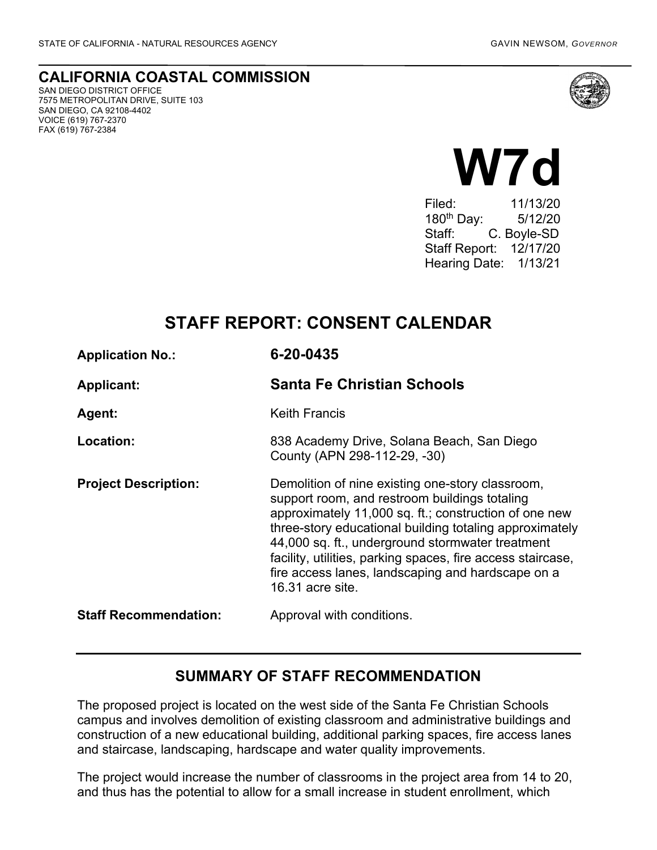#### **CALIFORNIA COASTAL COMMISSION** SAN DIEGO DISTRICT OFFICE

7575 METROPOLITAN DRIVE, SUITE 103 SAN DIEGO, CA 92108-4402 VOICE (619) 767-2370 FAX (619) 767-2384



# **M7d**

Filed: 11/13/20 180th Day: 5/12/20 Staff: C. Boyle-SD Staff Report: 12/17/20 Hearing Date: 1/13/21

# **STAFF REPORT: CONSENT CALENDAR**

| <b>Application No.:</b>      | 6-20-0435                                                                                                                                                                                                                                                                                                                                                                                                         |
|------------------------------|-------------------------------------------------------------------------------------------------------------------------------------------------------------------------------------------------------------------------------------------------------------------------------------------------------------------------------------------------------------------------------------------------------------------|
| <b>Applicant:</b>            | <b>Santa Fe Christian Schools</b>                                                                                                                                                                                                                                                                                                                                                                                 |
| <b>Agent:</b>                | <b>Keith Francis</b>                                                                                                                                                                                                                                                                                                                                                                                              |
| Location:                    | 838 Academy Drive, Solana Beach, San Diego<br>County (APN 298-112-29, -30)                                                                                                                                                                                                                                                                                                                                        |
| <b>Project Description:</b>  | Demolition of nine existing one-story classroom,<br>support room, and restroom buildings totaling<br>approximately 11,000 sq. ft.; construction of one new<br>three-story educational building totaling approximately<br>44,000 sq. ft., underground stormwater treatment<br>facility, utilities, parking spaces, fire access staircase,<br>fire access lanes, landscaping and hardscape on a<br>16.31 acre site. |
| <b>Staff Recommendation:</b> | Approval with conditions.                                                                                                                                                                                                                                                                                                                                                                                         |

## **SUMMARY OF STAFF RECOMMENDATION**

The proposed project is located on the west side of the Santa Fe Christian Schools campus and involves demolition of existing classroom and administrative buildings and construction of a new educational building, additional parking spaces, fire access lanes and staircase, landscaping, hardscape and water quality improvements.

The project would increase the number of classrooms in the project area from 14 to 20, and thus has the potential to allow for a small increase in student enrollment, which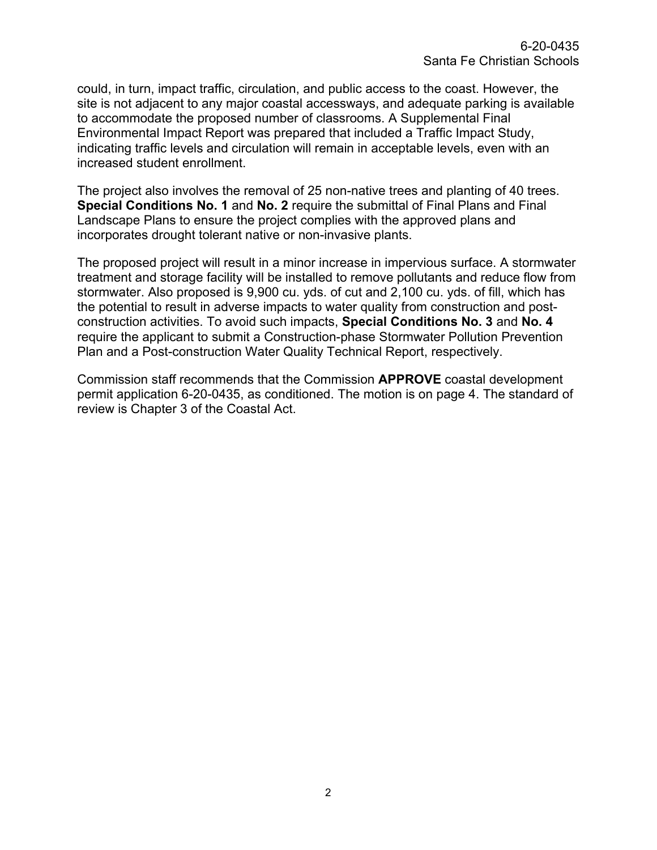could, in turn, impact traffic, circulation, and public access to the coast. However, the site is not adjacent to any major coastal accessways, and adequate parking is available to accommodate the proposed number of classrooms. A Supplemental Final Environmental Impact Report was prepared that included a Traffic Impact Study, indicating traffic levels and circulation will remain in acceptable levels, even with an increased student enrollment.

The project also involves the removal of 25 non-native trees and planting of 40 trees. **Special Conditions No. 1** and **No. 2** require the submittal of Final Plans and Final Landscape Plans to ensure the project complies with the approved plans and incorporates drought tolerant native or non-invasive plants.

The proposed project will result in a minor increase in impervious surface. A stormwater treatment and storage facility will be installed to remove pollutants and reduce flow from stormwater. Also proposed is 9,900 cu. yds. of cut and 2,100 cu. yds. of fill, which has the potential to result in adverse impacts to water quality from construction and postconstruction activities. To avoid such impacts, **Special Conditions No. 3** and **No. 4** require the applicant to submit a Construction-phase Stormwater Pollution Prevention Plan and a Post-construction Water Quality Technical Report, respectively.

Commission staff recommends that the Commission **APPROVE** coastal development permit application 6-20-0435, as conditioned. The motion is on page 4. The standard of review is Chapter 3 of the Coastal Act.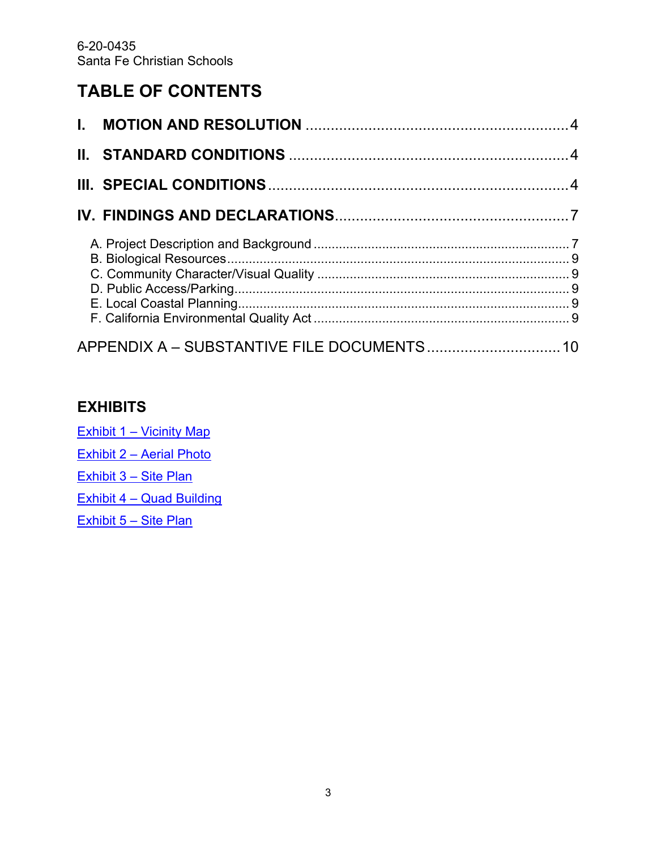# **TABLE OF CONTENTS**

| APPENDIX A - SUBSTANTIVE FILE DOCUMENTS 10 |  |
|--------------------------------------------|--|

## **EXHIBITS**

Exhibit 1 – [Vicinity Map](https://documents.coastal.ca.gov/reports/2021/1/w7d/w7d-1-2021-exhibits.pdf) Exhibit 2 – [Aerial Photo](https://documents.coastal.ca.gov/reports/2021/1/w7d/w7d-1-2021-exhibits.pdf) [Exhibit 3 –](https://documents.coastal.ca.gov/reports/2021/1/w7d/w7d-1-2021-exhibits.pdf) Site Plan Exhibit 4 – [Quad Building](https://documents.coastal.ca.gov/reports/2021/1/w7d/w7d-1-2021-exhibits.pdf) [Exhibit 5 –](https://documents.coastal.ca.gov/reports/2021/1/w7d/w7d-1-2021-exhibits.pdf) Site Plan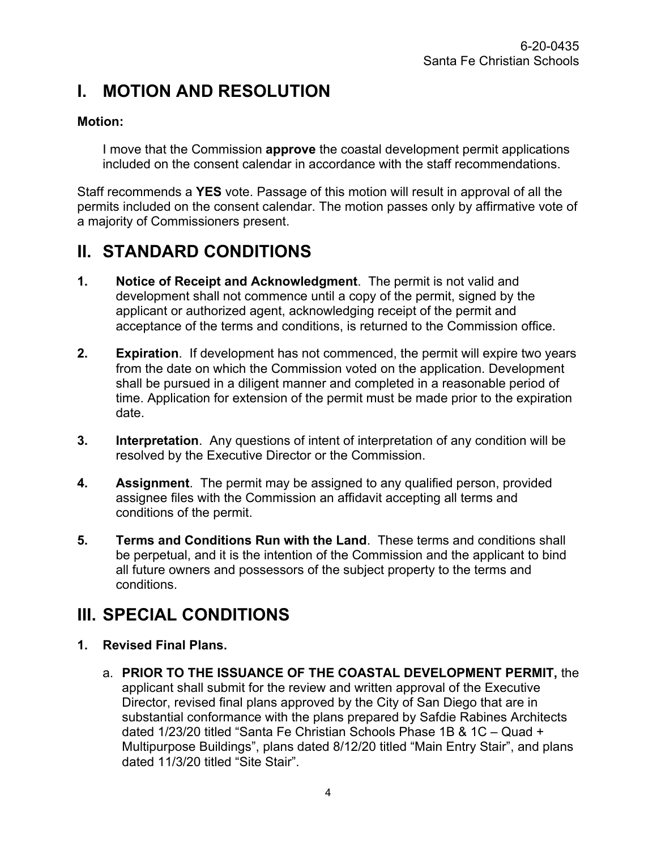# <span id="page-3-0"></span>**I. MOTION AND RESOLUTION**

#### **Motion:**

I move that the Commission **approve** the coastal development permit applications included on the consent calendar in accordance with the staff recommendations.

Staff recommends a **YES** vote. Passage of this motion will result in approval of all the permits included on the consent calendar. The motion passes only by affirmative vote of a majority of Commissioners present.

# <span id="page-3-1"></span>**II. STANDARD CONDITIONS**

- **1. Notice of Receipt and Acknowledgment**. The permit is not valid and development shall not commence until a copy of the permit, signed by the applicant or authorized agent, acknowledging receipt of the permit and acceptance of the terms and conditions, is returned to the Commission office.
- **2. Expiration**. If development has not commenced, the permit will expire two years from the date on which the Commission voted on the application. Development shall be pursued in a diligent manner and completed in a reasonable period of time. Application for extension of the permit must be made prior to the expiration date.
- **3. Interpretation**. Any questions of intent of interpretation of any condition will be resolved by the Executive Director or the Commission.
- **4. Assignment**. The permit may be assigned to any qualified person, provided assignee files with the Commission an affidavit accepting all terms and conditions of the permit.
- **5. Terms and Conditions Run with the Land**. These terms and conditions shall be perpetual, and it is the intention of the Commission and the applicant to bind all future owners and possessors of the subject property to the terms and conditions.

# <span id="page-3-2"></span>**III. SPECIAL CONDITIONS**

- **1. Revised Final Plans.**
	- a. **PRIOR TO THE ISSUANCE OF THE COASTAL DEVELOPMENT PERMIT,** the applicant shall submit for the review and written approval of the Executive Director, revised final plans approved by the City of San Diego that are in substantial conformance with the plans prepared by Safdie Rabines Architects dated 1/23/20 titled "Santa Fe Christian Schools Phase 1B & 1C – Quad + Multipurpose Buildings", plans dated 8/12/20 titled "Main Entry Stair", and plans dated 11/3/20 titled "Site Stair".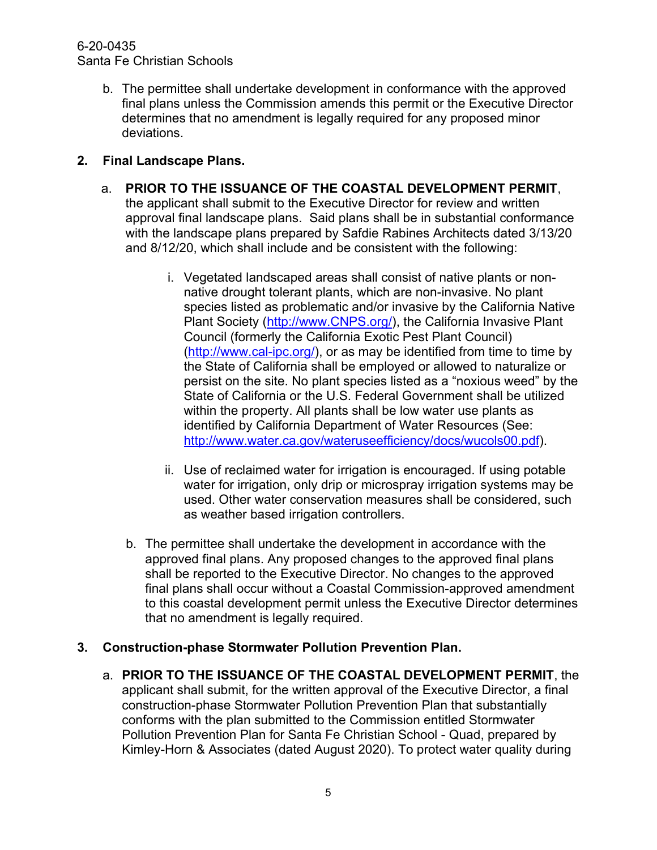#### 6-20-0435 Santa Fe Christian Schools

b. The permittee shall undertake development in conformance with the approved final plans unless the Commission amends this permit or the Executive Director determines that no amendment is legally required for any proposed minor deviations.

#### **2. Final Landscape Plans.**

- a. **PRIOR TO THE ISSUANCE OF THE COASTAL DEVELOPMENT PERMIT**, the applicant shall submit to the Executive Director for review and written approval final landscape plans. Said plans shall be in substantial conformance with the landscape plans prepared by Safdie Rabines Architects dated 3/13/20 and 8/12/20, which shall include and be consistent with the following:
	- i. Vegetated landscaped areas shall consist of native plants or nonnative drought tolerant plants, which are non-invasive. No plant species listed as problematic and/or invasive by the California Native Plant Society [\(http://www.CNPS.org/\)](http://www.cnps.org/), the California Invasive Plant Council (formerly the California Exotic Pest Plant Council) [\(http://www.cal-ipc.org/\)](http://www.cal-ipc.org/), or as may be identified from time to time by the State of California shall be employed or allowed to naturalize or persist on the site. No plant species listed as a "noxious weed" by the State of California or the U.S. Federal Government shall be utilized within the property. All plants shall be low water use plants as identified by California Department of Water Resources (See: [http://www.water.ca.gov/wateruseefficiency/docs/wucols00.pdf\)](http://www.water.ca.gov/wateruseefficiency/docs/wucols00.pdf).
	- ii. Use of reclaimed water for irrigation is encouraged. If using potable water for irrigation, only drip or microspray irrigation systems may be used. Other water conservation measures shall be considered, such as weather based irrigation controllers.
	- b. The permittee shall undertake the development in accordance with the approved final plans. Any proposed changes to the approved final plans shall be reported to the Executive Director. No changes to the approved final plans shall occur without a Coastal Commission-approved amendment to this coastal development permit unless the Executive Director determines that no amendment is legally required.

#### **3. Construction-phase Stormwater Pollution Prevention Plan.**

a. **PRIOR TO THE ISSUANCE OF THE COASTAL DEVELOPMENT PERMIT**, the applicant shall submit, for the written approval of the Executive Director, a final construction-phase Stormwater Pollution Prevention Plan that substantially conforms with the plan submitted to the Commission entitled Stormwater Pollution Prevention Plan for Santa Fe Christian School - Quad, prepared by Kimley-Horn & Associates (dated August 2020). To protect water quality during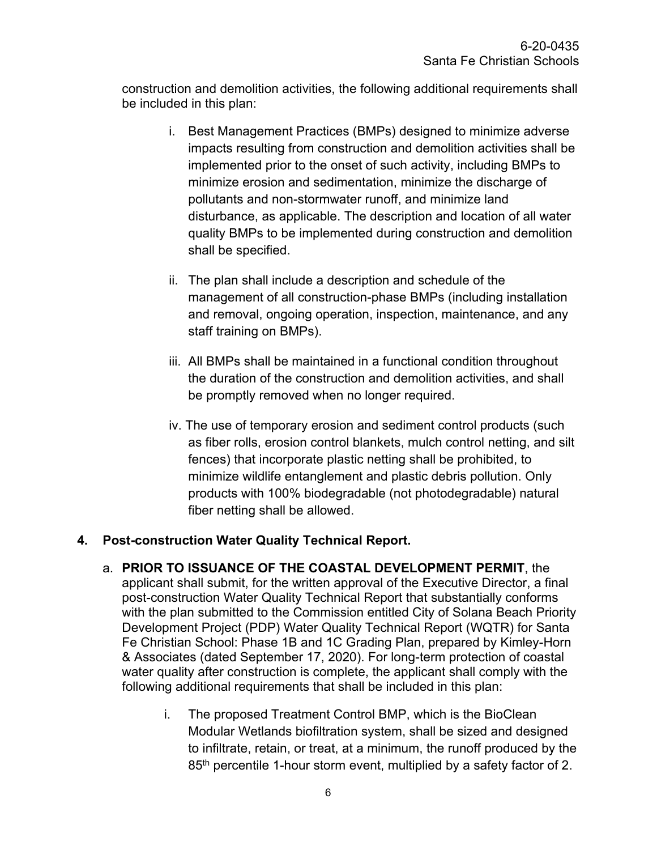construction and demolition activities, the following additional requirements shall be included in this plan:

- i. Best Management Practices (BMPs) designed to minimize adverse impacts resulting from construction and demolition activities shall be implemented prior to the onset of such activity, including BMPs to minimize erosion and sedimentation, minimize the discharge of pollutants and non-stormwater runoff, and minimize land disturbance, as applicable. The description and location of all water quality BMPs to be implemented during construction and demolition shall be specified.
- ii. The plan shall include a description and schedule of the management of all construction-phase BMPs (including installation and removal, ongoing operation, inspection, maintenance, and any staff training on BMPs).
- iii. All BMPs shall be maintained in a functional condition throughout the duration of the construction and demolition activities, and shall be promptly removed when no longer required.
- iv. The use of temporary erosion and sediment control products (such as fiber rolls, erosion control blankets, mulch control netting, and silt fences) that incorporate plastic netting shall be prohibited, to minimize wildlife entanglement and plastic debris pollution. Only products with 100% biodegradable (not photodegradable) natural fiber netting shall be allowed.

#### **4. Post-construction Water Quality Technical Report.**

- a. **PRIOR TO ISSUANCE OF THE COASTAL DEVELOPMENT PERMIT**, the applicant shall submit, for the written approval of the Executive Director, a final post-construction Water Quality Technical Report that substantially conforms with the plan submitted to the Commission entitled City of Solana Beach Priority Development Project (PDP) Water Quality Technical Report (WQTR) for Santa Fe Christian School: Phase 1B and 1C Grading Plan, prepared by Kimley-Horn & Associates (dated September 17, 2020). For long-term protection of coastal water quality after construction is complete, the applicant shall comply with the following additional requirements that shall be included in this plan:
	- i. The proposed Treatment Control BMP, which is the BioClean Modular Wetlands biofiltration system, shall be sized and designed to infiltrate, retain, or treat, at a minimum, the runoff produced by the 85<sup>th</sup> percentile 1-hour storm event, multiplied by a safety factor of 2.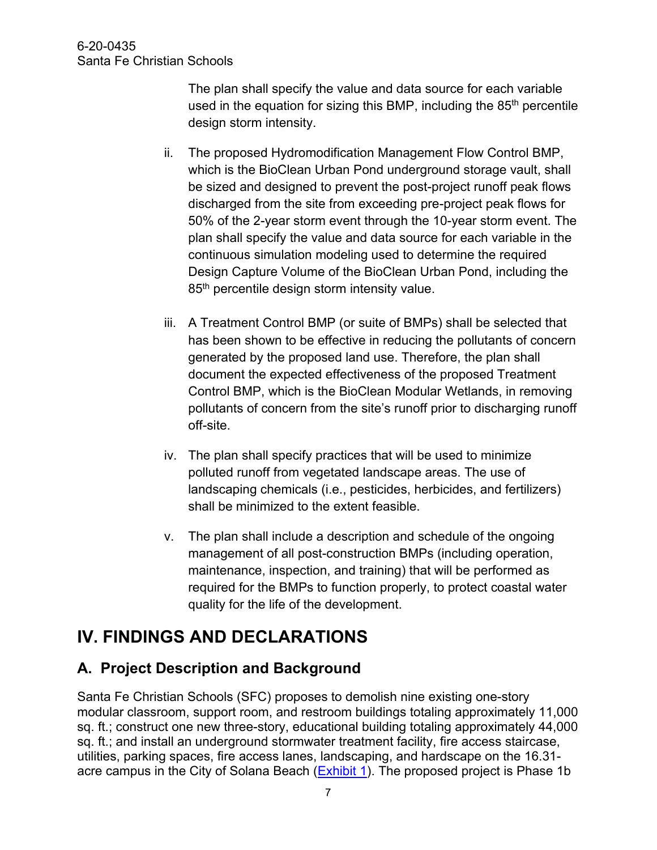The plan shall specify the value and data source for each variable used in the equation for sizing this BMP, including the  $85<sup>th</sup>$  percentile design storm intensity.

- ii. The proposed Hydromodification Management Flow Control BMP, which is the BioClean Urban Pond underground storage vault, shall be sized and designed to prevent the post-project runoff peak flows discharged from the site from exceeding pre-project peak flows for 50% of the 2-year storm event through the 10-year storm event. The plan shall specify the value and data source for each variable in the continuous simulation modeling used to determine the required Design Capture Volume of the BioClean Urban Pond, including the 85<sup>th</sup> percentile design storm intensity value.
- iii. A Treatment Control BMP (or suite of BMPs) shall be selected that has been shown to be effective in reducing the pollutants of concern generated by the proposed land use. Therefore, the plan shall document the expected effectiveness of the proposed Treatment Control BMP, which is the BioClean Modular Wetlands, in removing pollutants of concern from the site's runoff prior to discharging runoff off-site.
- iv. The plan shall specify practices that will be used to minimize polluted runoff from vegetated landscape areas. The use of landscaping chemicals (i.e., pesticides, herbicides, and fertilizers) shall be minimized to the extent feasible.
- v. The plan shall include a description and schedule of the ongoing management of all post-construction BMPs (including operation, maintenance, inspection, and training) that will be performed as required for the BMPs to function properly, to protect coastal water quality for the life of the development.

# <span id="page-6-0"></span>**IV. FINDINGS AND DECLARATIONS**

## <span id="page-6-1"></span>**A. Project Description and Background**

Santa Fe Christian Schools (SFC) proposes to demolish nine existing one-story modular classroom, support room, and restroom buildings totaling approximately 11,000 sq. ft.; construct one new three-story, educational building totaling approximately 44,000 sq. ft.; and install an underground stormwater treatment facility, fire access staircase, utilities, parking spaces, fire access lanes, landscaping, and hardscape on the 16.31 acre campus in the City of Solana Beach (**Exhibit 1**). The proposed project is Phase 1b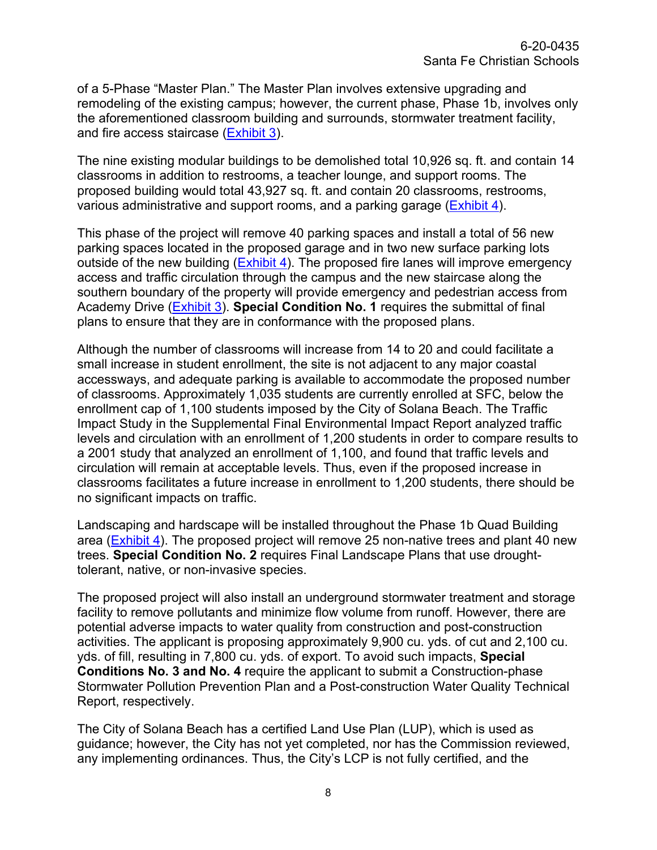of a 5-Phase "Master Plan." The Master Plan involves extensive upgrading and remodeling of the existing campus; however, the current phase, Phase 1b, involves only the aforementioned classroom building and surrounds, stormwater treatment facility, and fire access staircase [\(Exhibit 3\)](https://documents.coastal.ca.gov/reports/2021/1/w7d/w7d-1-2021-exhibits.pdf).

The nine existing modular buildings to be demolished total 10,926 sq. ft. and contain 14 classrooms in addition to restrooms, a teacher lounge, and support rooms. The proposed building would total 43,927 sq. ft. and contain 20 classrooms, restrooms, various administrative and support rooms, and a parking garage [\(Exhibit 4\)](https://documents.coastal.ca.gov/reports/2021/1/w7d/w7d-1-2021-exhibits.pdf).

This phase of the project will remove 40 parking spaces and install a total of 56 new parking spaces located in the proposed garage and in two new surface parking lots outside of the new building [\(Exhibit 4\)](https://documents.coastal.ca.gov/reports/2021/1/w7d/w7d-1-2021-exhibits.pdf). The proposed fire lanes will improve emergency access and traffic circulation through the campus and the new staircase along the southern boundary of the property will provide emergency and pedestrian access from Academy Drive [\(Exhibit 3\)](https://documents.coastal.ca.gov/reports/2021/1/w7d/w7d-1-2021-exhibits.pdf). **Special Condition No. 1** requires the submittal of final plans to ensure that they are in conformance with the proposed plans.

Although the number of classrooms will increase from 14 to 20 and could facilitate a small increase in student enrollment, the site is not adjacent to any major coastal accessways, and adequate parking is available to accommodate the proposed number of classrooms. Approximately 1,035 students are currently enrolled at SFC, below the enrollment cap of 1,100 students imposed by the City of Solana Beach. The Traffic Impact Study in the Supplemental Final Environmental Impact Report analyzed traffic levels and circulation with an enrollment of 1,200 students in order to compare results to a 2001 study that analyzed an enrollment of 1,100, and found that traffic levels and circulation will remain at acceptable levels. Thus, even if the proposed increase in classrooms facilitates a future increase in enrollment to 1,200 students, there should be no significant impacts on traffic.

Landscaping and hardscape will be installed throughout the Phase 1b Quad Building area [\(Exhibit 4\)](https://documents.coastal.ca.gov/reports/2021/1/w7d/w7d-1-2021-exhibits.pdf). The proposed project will remove 25 non-native trees and plant 40 new trees. **Special Condition No. 2** requires Final Landscape Plans that use droughttolerant, native, or non-invasive species.

The proposed project will also install an underground stormwater treatment and storage facility to remove pollutants and minimize flow volume from runoff. However, there are potential adverse impacts to water quality from construction and post-construction activities. The applicant is proposing approximately 9,900 cu. yds. of cut and 2,100 cu. yds. of fill, resulting in 7,800 cu. yds. of export. To avoid such impacts, **Special Conditions No. 3 and No. 4** require the applicant to submit a Construction-phase Stormwater Pollution Prevention Plan and a Post-construction Water Quality Technical Report, respectively.

The City of Solana Beach has a certified Land Use Plan (LUP), which is used as guidance; however, the City has not yet completed, nor has the Commission reviewed, any implementing ordinances. Thus, the City's LCP is not fully certified, and the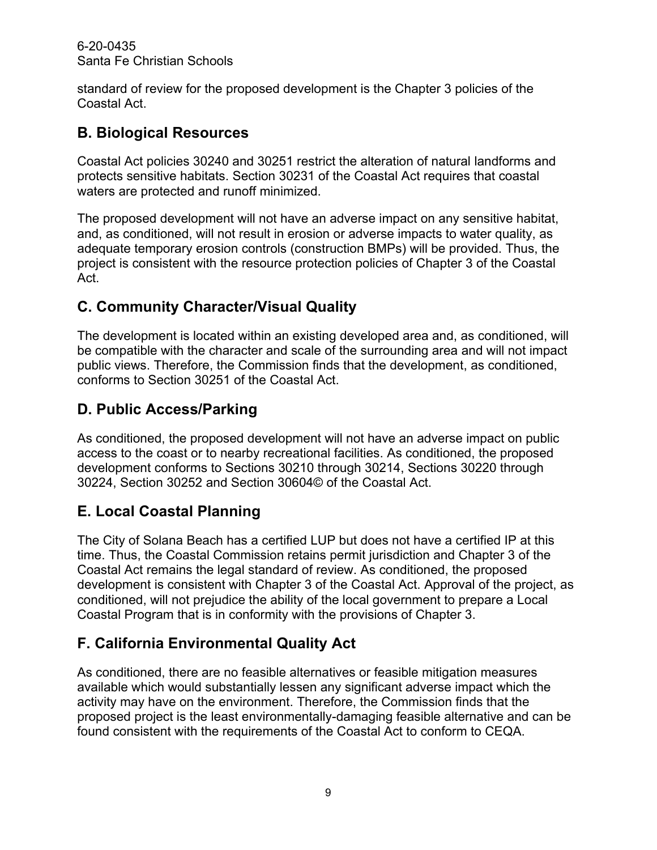6-20-0435 Santa Fe Christian Schools

standard of review for the proposed development is the Chapter 3 policies of the Coastal Act.

## <span id="page-8-0"></span>**B. Biological Resources**

Coastal Act policies 30240 and 30251 restrict the alteration of natural landforms and protects sensitive habitats. Section 30231 of the Coastal Act requires that coastal waters are protected and runoff minimized.

The proposed development will not have an adverse impact on any sensitive habitat, and, as conditioned, will not result in erosion or adverse impacts to water quality, as adequate temporary erosion controls (construction BMPs) will be provided. Thus, the project is consistent with the resource protection policies of Chapter 3 of the Coastal Act.

## <span id="page-8-1"></span>**C. Community Character/Visual Quality**

The development is located within an existing developed area and, as conditioned, will be compatible with the character and scale of the surrounding area and will not impact public views. Therefore, the Commission finds that the development, as conditioned, conforms to Section 30251 of the Coastal Act.

## <span id="page-8-2"></span>**D. Public Access/Parking**

As conditioned, the proposed development will not have an adverse impact on public access to the coast or to nearby recreational facilities. As conditioned, the proposed development conforms to Sections 30210 through 30214, Sections 30220 through 30224, Section 30252 and Section 30604© of the Coastal Act.

## <span id="page-8-3"></span>**E. Local Coastal Planning**

The City of Solana Beach has a certified LUP but does not have a certified IP at this time. Thus, the Coastal Commission retains permit jurisdiction and Chapter 3 of the Coastal Act remains the legal standard of review. As conditioned, the proposed development is consistent with Chapter 3 of the Coastal Act. Approval of the project, as conditioned, will not prejudice the ability of the local government to prepare a Local Coastal Program that is in conformity with the provisions of Chapter 3.

## <span id="page-8-4"></span>**F. California Environmental Quality Act**

As conditioned, there are no feasible alternatives or feasible mitigation measures available which would substantially lessen any significant adverse impact which the activity may have on the environment. Therefore, the Commission finds that the proposed project is the least environmentally-damaging feasible alternative and can be found consistent with the requirements of the Coastal Act to conform to CEQA.